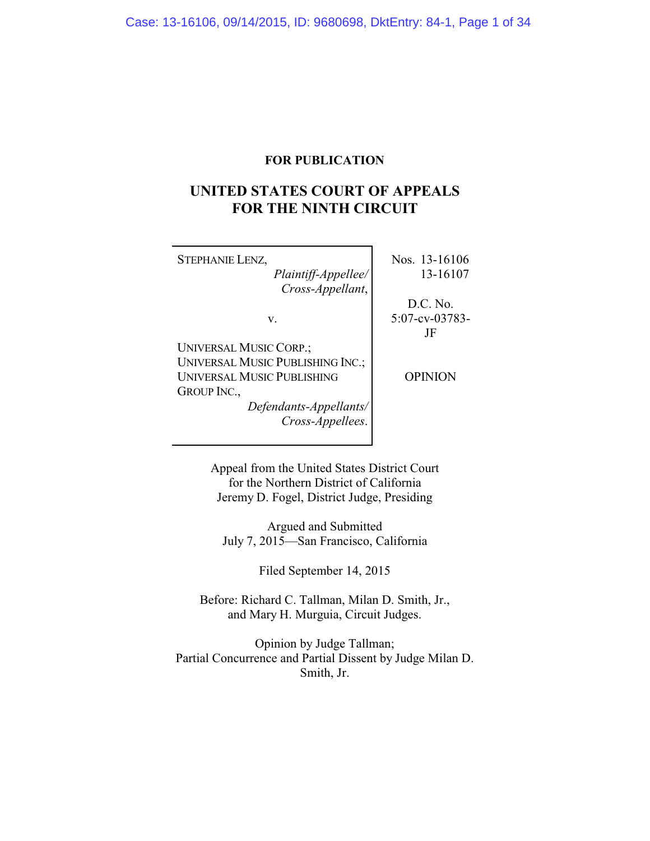## **FOR PUBLICATION**

# **UNITED STATES COURT OF APPEALS FOR THE NINTH CIRCUIT**

| <b>STEPHANIE LENZ,</b>                  | Nos. 13-16106     |
|-----------------------------------------|-------------------|
| Plaintiff-Appellee/                     | 13-16107          |
| Cross-Appellant,                        |                   |
|                                         | D.C. No.          |
| V.                                      | $5:07$ -cv-03783- |
|                                         | JF                |
| <b>UNIVERSAL MUSIC CORP.;</b>           |                   |
| <b>UNIVERSAL MUSIC PUBLISHING INC.;</b> |                   |
| <b>UNIVERSAL MUSIC PUBLISHING</b>       | OPINION           |
| <b>GROUP INC.,</b>                      |                   |
| Defendants-Appellants/                  |                   |
| Cross-Appellees.                        |                   |
|                                         |                   |

Appeal from the United States District Court for the Northern District of California Jeremy D. Fogel, District Judge, Presiding

Argued and Submitted July 7, 2015—San Francisco, California

Filed September 14, 2015

Before: Richard C. Tallman, Milan D. Smith, Jr., and Mary H. Murguia, Circuit Judges.

Opinion by Judge Tallman; Partial Concurrence and Partial Dissent by Judge Milan D. Smith, Jr.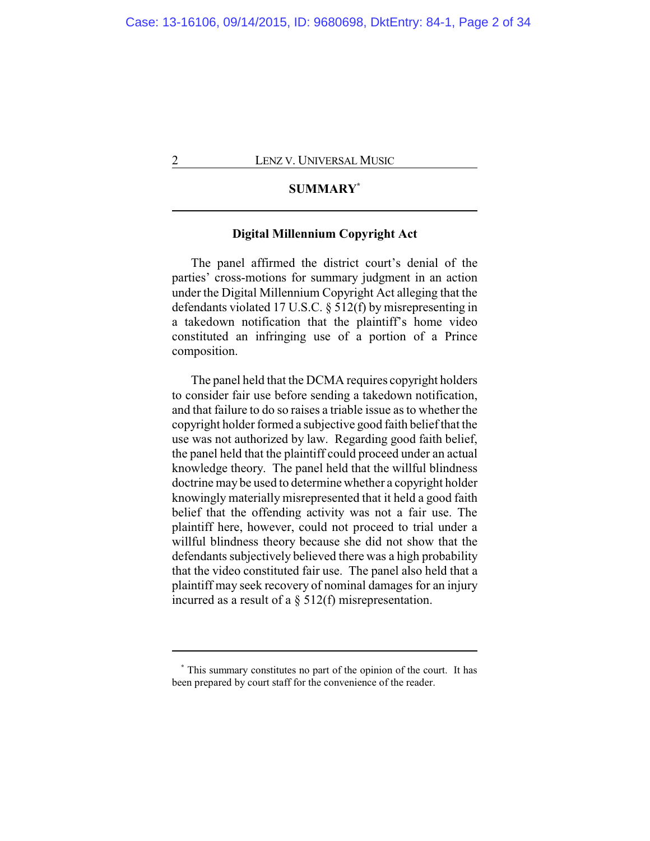## **SUMMARY\***

## **Digital Millennium Copyright Act**

The panel affirmed the district court's denial of the parties' cross-motions for summary judgment in an action under the Digital Millennium Copyright Act alleging that the defendants violated 17 U.S.C. § 512(f) by misrepresenting in a takedown notification that the plaintiff's home video constituted an infringing use of a portion of a Prince composition.

The panel held that the DCMA requires copyright holders to consider fair use before sending a takedown notification, and that failure to do so raises a triable issue as to whether the copyright holder formed a subjective good faith belief that the use was not authorized by law. Regarding good faith belief, the panel held that the plaintiff could proceed under an actual knowledge theory. The panel held that the willful blindness doctrine may be used to determine whether a copyright holder knowingly materially misrepresented that it held a good faith belief that the offending activity was not a fair use. The plaintiff here, however, could not proceed to trial under a willful blindness theory because she did not show that the defendants subjectively believed there was a high probability that the video constituted fair use. The panel also held that a plaintiff may seek recovery of nominal damages for an injury incurred as a result of a § 512(f) misrepresentation.

**<sup>\*</sup>** This summary constitutes no part of the opinion of the court. It has been prepared by court staff for the convenience of the reader.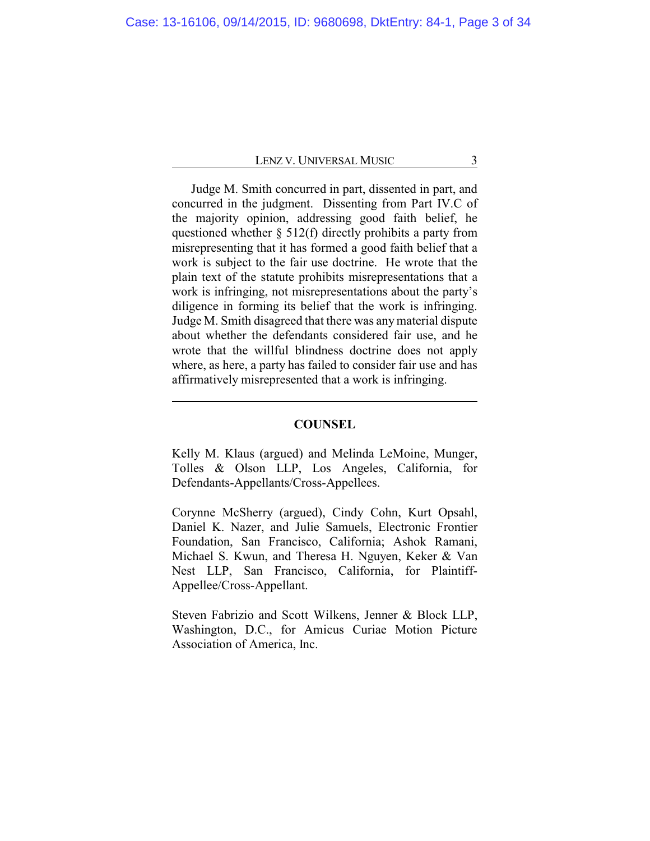Judge M. Smith concurred in part, dissented in part, and concurred in the judgment. Dissenting from Part IV.C of the majority opinion, addressing good faith belief, he questioned whether § 512(f) directly prohibits a party from misrepresenting that it has formed a good faith belief that a work is subject to the fair use doctrine. He wrote that the plain text of the statute prohibits misrepresentations that a work is infringing, not misrepresentations about the party's diligence in forming its belief that the work is infringing. Judge M. Smith disagreed that there was any material dispute about whether the defendants considered fair use, and he wrote that the willful blindness doctrine does not apply where, as here, a party has failed to consider fair use and has affirmatively misrepresented that a work is infringing.

#### **COUNSEL**

Kelly M. Klaus (argued) and Melinda LeMoine, Munger, Tolles & Olson LLP, Los Angeles, California, for Defendants-Appellants/Cross-Appellees.

Corynne McSherry (argued), Cindy Cohn, Kurt Opsahl, Daniel K. Nazer, and Julie Samuels, Electronic Frontier Foundation, San Francisco, California; Ashok Ramani, Michael S. Kwun, and Theresa H. Nguyen, Keker & Van Nest LLP, San Francisco, California, for Plaintiff-Appellee/Cross-Appellant.

Steven Fabrizio and Scott Wilkens, Jenner & Block LLP, Washington, D.C., for Amicus Curiae Motion Picture Association of America, Inc.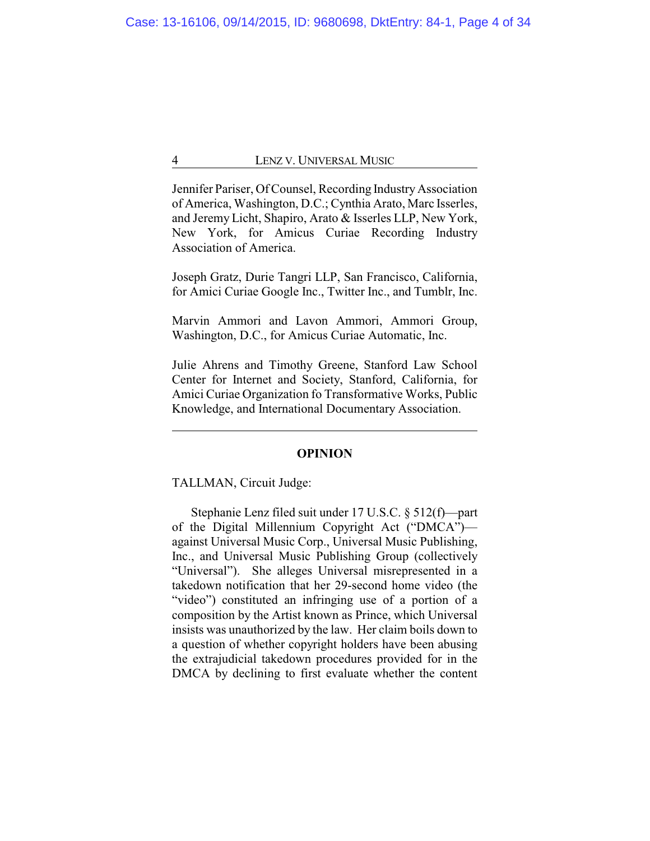Jennifer Pariser, Of Counsel, Recording IndustryAssociation of America, Washington, D.C.; Cynthia Arato, Marc Isserles, and Jeremy Licht, Shapiro, Arato & Isserles LLP, New York, New York, for Amicus Curiae Recording Industry Association of America.

Joseph Gratz, Durie Tangri LLP, San Francisco, California, for Amici Curiae Google Inc., Twitter Inc., and Tumblr, Inc.

Marvin Ammori and Lavon Ammori, Ammori Group, Washington, D.C., for Amicus Curiae Automatic, Inc.

Julie Ahrens and Timothy Greene, Stanford Law School Center for Internet and Society, Stanford, California, for Amici Curiae Organization fo Transformative Works, Public Knowledge, and International Documentary Association.

#### **OPINION**

TALLMAN, Circuit Judge:

Stephanie Lenz filed suit under 17 U.S.C. § 512(f)—part of the Digital Millennium Copyright Act ("DMCA") against Universal Music Corp., Universal Music Publishing, Inc., and Universal Music Publishing Group (collectively "Universal"). She alleges Universal misrepresented in a takedown notification that her 29-second home video (the "video") constituted an infringing use of a portion of a composition by the Artist known as Prince, which Universal insists was unauthorized by the law. Her claim boils down to a question of whether copyright holders have been abusing the extrajudicial takedown procedures provided for in the DMCA by declining to first evaluate whether the content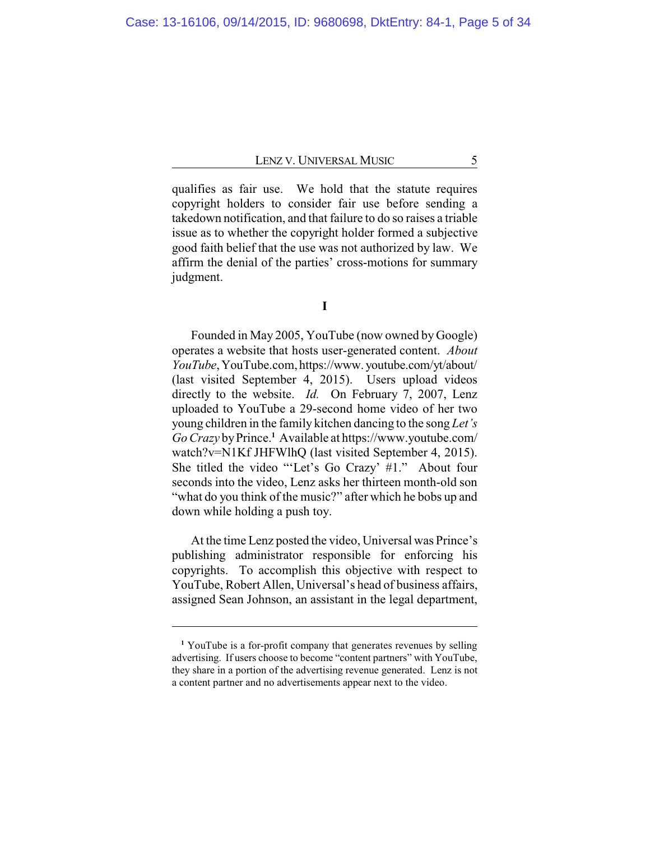qualifies as fair use. We hold that the statute requires copyright holders to consider fair use before sending a takedown notification, and that failure to do so raises a triable issue as to whether the copyright holder formed a subjective good faith belief that the use was not authorized by law. We affirm the denial of the parties' cross-motions for summary judgment.

**I**

Founded in May 2005, YouTube (now owned by Google) operates a website that hosts user-generated content. *About YouTube*,YouTube.com, https://www. youtube.com/yt/about/ (last visited September 4, 2015). Users upload videos directly to the website. *Id.* On February 7, 2007, Lenz uploaded to YouTube a 29-second home video of her two young children in the family kitchen dancing to the song *Let's Go Crazy* byPrince.**<sup>1</sup>** Available at https://www.youtube.com/ watch?v=N1Kf JHFWlhQ (last visited September 4, 2015). She titled the video "'Let's Go Crazy' #1." About four seconds into the video, Lenz asks her thirteen month-old son "what do you think of the music?" after which he bobs up and down while holding a push toy.

At the time Lenz posted the video, Universal was Prince's publishing administrator responsible for enforcing his copyrights. To accomplish this objective with respect to YouTube, Robert Allen, Universal's head of business affairs, assigned Sean Johnson, an assistant in the legal department,

**<sup>1</sup>** YouTube is a for-profit company that generates revenues by selling advertising. If users choose to become "content partners" with YouTube, they share in a portion of the advertising revenue generated. Lenz is not a content partner and no advertisements appear next to the video.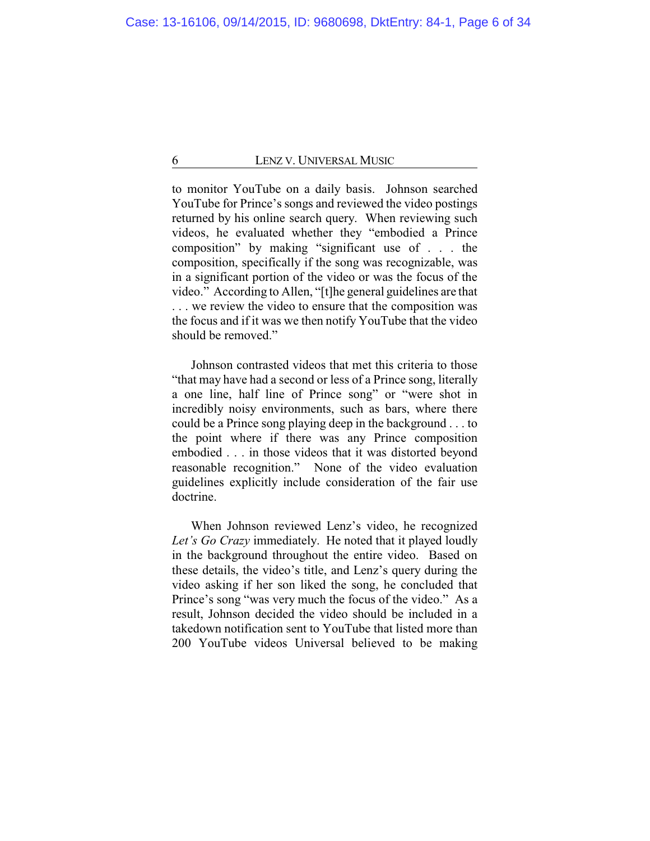to monitor YouTube on a daily basis. Johnson searched YouTube for Prince's songs and reviewed the video postings returned by his online search query. When reviewing such videos, he evaluated whether they "embodied a Prince composition" by making "significant use of . . . the composition, specifically if the song was recognizable, was in a significant portion of the video or was the focus of the video." According to Allen, "[t]he general guidelines are that . . . we review the video to ensure that the composition was the focus and if it was we then notify YouTube that the video should be removed."

Johnson contrasted videos that met this criteria to those "that may have had a second or less of a Prince song, literally a one line, half line of Prince song" or "were shot in incredibly noisy environments, such as bars, where there could be a Prince song playing deep in the background . . . to the point where if there was any Prince composition embodied . . . in those videos that it was distorted beyond reasonable recognition." None of the video evaluation guidelines explicitly include consideration of the fair use doctrine.

When Johnson reviewed Lenz's video, he recognized *Let's Go Crazy* immediately. He noted that it played loudly in the background throughout the entire video. Based on these details, the video's title, and Lenz's query during the video asking if her son liked the song, he concluded that Prince's song "was very much the focus of the video." As a result, Johnson decided the video should be included in a takedown notification sent to YouTube that listed more than 200 YouTube videos Universal believed to be making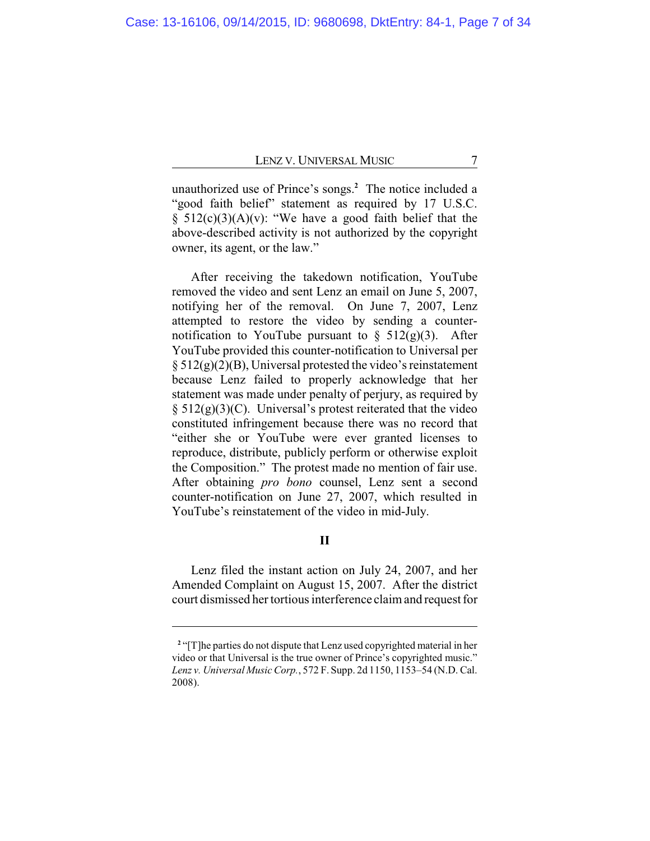unauthorized use of Prince's songs.**<sup>2</sup>** The notice included a "good faith belief" statement as required by 17 U.S.C. § 512(c)(3)(A)(v): "We have a good faith belief that the above-described activity is not authorized by the copyright owner, its agent, or the law."

After receiving the takedown notification, YouTube removed the video and sent Lenz an email on June 5, 2007, notifying her of the removal. On June 7, 2007, Lenz attempted to restore the video by sending a counternotification to YouTube pursuant to  $\S$  512(g)(3). After YouTube provided this counter-notification to Universal per  $\S 512(g)(2)(B)$ , Universal protested the video's reinstatement because Lenz failed to properly acknowledge that her statement was made under penalty of perjury, as required by  $\S 512(g)(3)(C)$ . Universal's protest reiterated that the video constituted infringement because there was no record that "either she or YouTube were ever granted licenses to reproduce, distribute, publicly perform or otherwise exploit the Composition." The protest made no mention of fair use. After obtaining *pro bono* counsel, Lenz sent a second counter-notification on June 27, 2007, which resulted in YouTube's reinstatement of the video in mid-July.

## **II**

Lenz filed the instant action on July 24, 2007, and her Amended Complaint on August 15, 2007. After the district court dismissed her tortious interference claim and request for

<sup>&</sup>lt;sup>2</sup> "[T]he parties do not dispute that Lenz used copyrighted material in her video or that Universal is the true owner of Prince's copyrighted music." *Lenz v. Universal Music Corp.*, 572 F. Supp. 2d 1150, 1153–54 (N.D. Cal. 2008).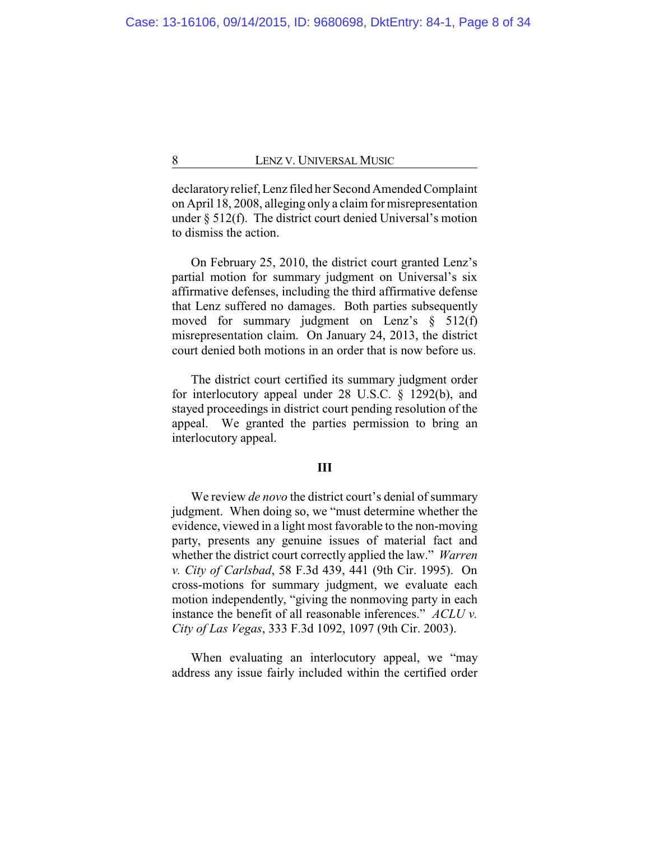declaratoryrelief, Lenz filed her Second Amended Complaint on April 18, 2008, alleging only a claim for misrepresentation under § 512(f). The district court denied Universal's motion to dismiss the action.

On February 25, 2010, the district court granted Lenz's partial motion for summary judgment on Universal's six affirmative defenses, including the third affirmative defense that Lenz suffered no damages. Both parties subsequently moved for summary judgment on Lenz's § 512(f) misrepresentation claim. On January 24, 2013, the district court denied both motions in an order that is now before us.

The district court certified its summary judgment order for interlocutory appeal under 28 U.S.C. § 1292(b), and stayed proceedings in district court pending resolution of the appeal. We granted the parties permission to bring an interlocutory appeal.

## **III**

We review *de novo* the district court's denial of summary judgment. When doing so, we "must determine whether the evidence, viewed in a light most favorable to the non-moving party, presents any genuine issues of material fact and whether the district court correctly applied the law." *Warren v. City of Carlsbad*, 58 F.3d 439, 441 (9th Cir. 1995). On cross-motions for summary judgment, we evaluate each motion independently, "giving the nonmoving party in each instance the benefit of all reasonable inferences." *ACLU v. City of Las Vegas*, 333 F.3d 1092, 1097 (9th Cir. 2003).

When evaluating an interlocutory appeal, we "may address any issue fairly included within the certified order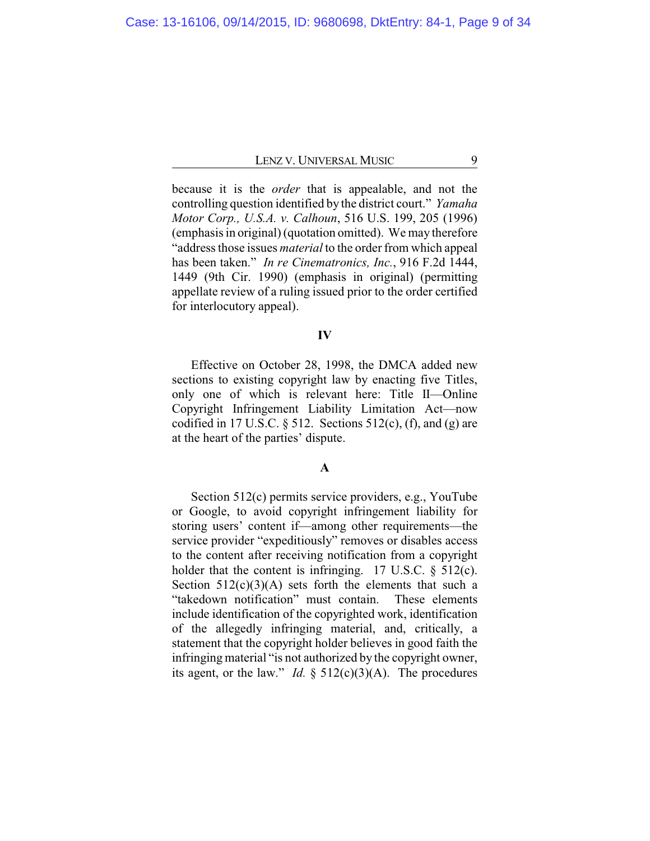because it is the *order* that is appealable, and not the controlling question identified by the district court." *Yamaha Motor Corp., U.S.A. v. Calhoun*, 516 U.S. 199, 205 (1996) (emphasis in original) (quotation omitted). We may therefore "address those issues *material* to the order from which appeal has been taken." *In re Cinematronics, Inc.*, 916 F.2d 1444, 1449 (9th Cir. 1990) (emphasis in original) (permitting appellate review of a ruling issued prior to the order certified for interlocutory appeal).

## **IV**

Effective on October 28, 1998, the DMCA added new sections to existing copyright law by enacting five Titles, only one of which is relevant here: Title II—Online Copyright Infringement Liability Limitation Act—now codified in 17 U.S.C.  $\S$  512. Sections 512(c), (f), and (g) are at the heart of the parties' dispute.

## **A**

Section 512(c) permits service providers, e.g., YouTube or Google, to avoid copyright infringement liability for storing users' content if—among other requirements—the service provider "expeditiously" removes or disables access to the content after receiving notification from a copyright holder that the content is infringing. 17 U.S.C.  $\S$  512(c). Section  $512(c)(3)(A)$  sets forth the elements that such a "takedown notification" must contain. These elements include identification of the copyrighted work, identification of the allegedly infringing material, and, critically, a statement that the copyright holder believes in good faith the infringing material "is not authorized by the copyright owner, its agent, or the law." *Id.*  $\S$  512(c)(3)(A). The procedures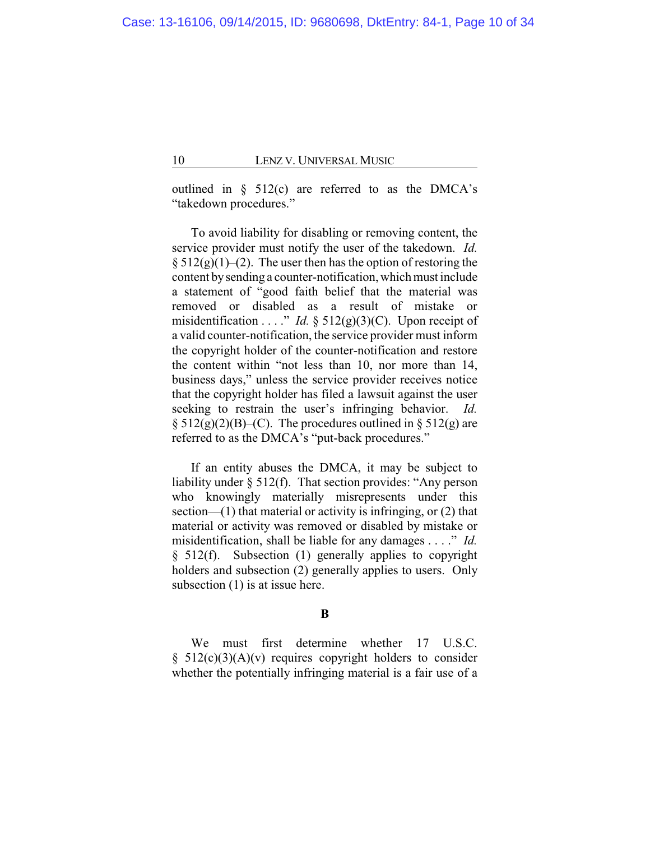outlined in  $\S$  512(c) are referred to as the DMCA's "takedown procedures."

To avoid liability for disabling or removing content, the service provider must notify the user of the takedown. *Id.*  $§ 512(g)(1)–(2)$ . The user then has the option of restoring the content bysending a counter-notification, which must include a statement of "good faith belief that the material was removed or disabled as a result of mistake or misidentification . . . ." *Id.*  $\S$  512(g)(3)(C). Upon receipt of a valid counter-notification, the service provider must inform the copyright holder of the counter-notification and restore the content within "not less than 10, nor more than 14, business days," unless the service provider receives notice that the copyright holder has filed a lawsuit against the user seeking to restrain the user's infringing behavior. *Id.*  $\S 512(g)(2)(B)$ –(C). The procedures outlined in  $\S 512(g)$  are referred to as the DMCA's "put-back procedures."

If an entity abuses the DMCA, it may be subject to liability under § 512(f). That section provides: "Any person who knowingly materially misrepresents under this section— $(1)$  that material or activity is infringing, or  $(2)$  that material or activity was removed or disabled by mistake or misidentification, shall be liable for any damages . . . ." *Id.* § 512(f). Subsection (1) generally applies to copyright holders and subsection (2) generally applies to users. Only subsection (1) is at issue here.

**B**

We must first determine whether 17 U.S.C.  $§ 512(c)(3)(A)(v)$  requires copyright holders to consider whether the potentially infringing material is a fair use of a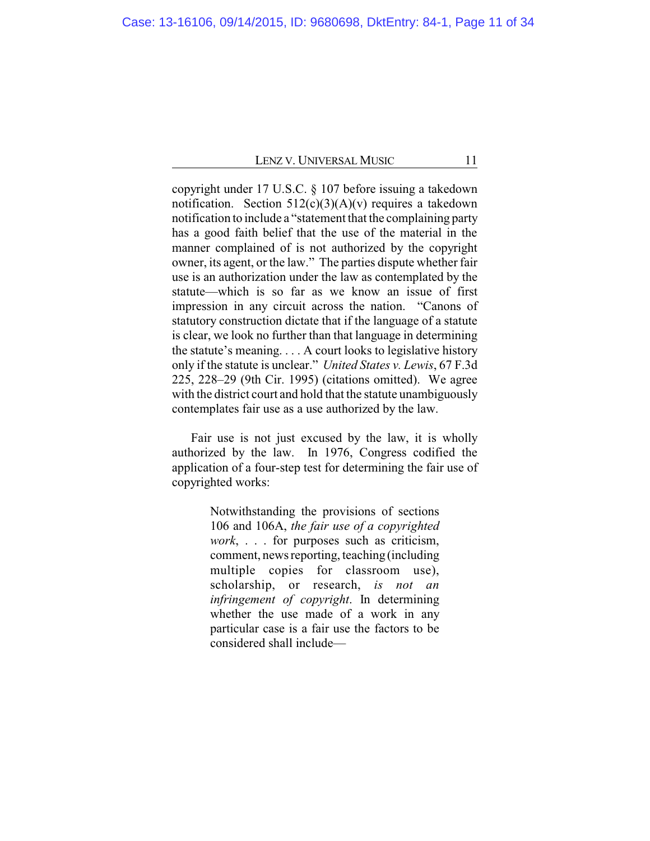copyright under 17 U.S.C. § 107 before issuing a takedown notification. Section  $512(c)(3)(A)(v)$  requires a takedown notification to include a "statement that the complaining party has a good faith belief that the use of the material in the manner complained of is not authorized by the copyright owner, its agent, or the law." The parties dispute whether fair use is an authorization under the law as contemplated by the statute—which is so far as we know an issue of first impression in any circuit across the nation. "Canons of statutory construction dictate that if the language of a statute is clear, we look no further than that language in determining the statute's meaning. . . . A court looks to legislative history only if the statute is unclear." *United States v. Lewis*, 67 F.3d 225, 228–29 (9th Cir. 1995) (citations omitted). We agree with the district court and hold that the statute unambiguously contemplates fair use as a use authorized by the law.

Fair use is not just excused by the law, it is wholly authorized by the law. In 1976, Congress codified the application of a four-step test for determining the fair use of copyrighted works:

> Notwithstanding the provisions of sections 106 and 106A, *the fair use of a copyrighted work*, . . . for purposes such as criticism, comment, news reporting, teaching (including multiple copies for classroom use), scholarship, or research, *is not an infringement of copyright*. In determining whether the use made of a work in any particular case is a fair use the factors to be considered shall include—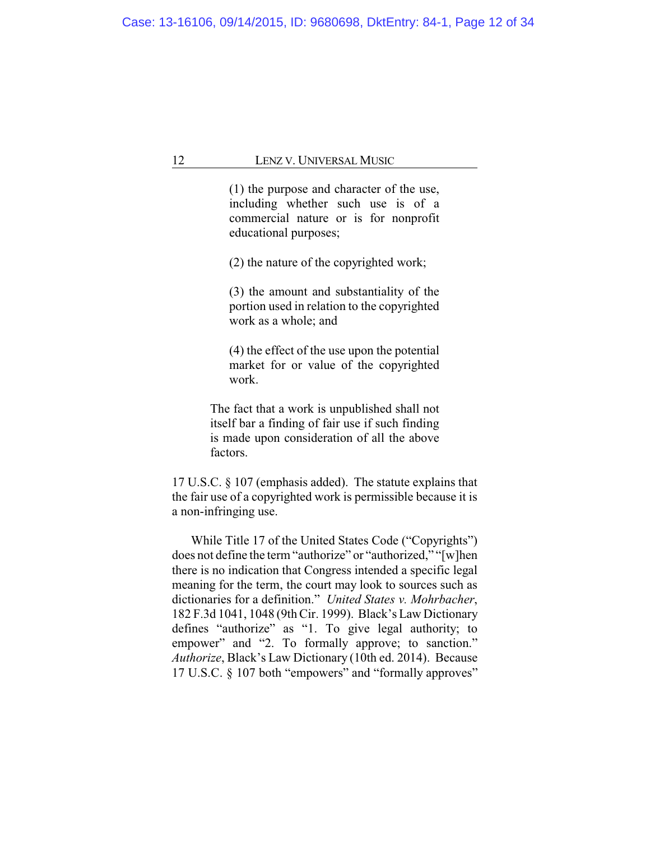(1) the purpose and character of the use, including whether such use is of a commercial nature or is for nonprofit educational purposes;

(2) the nature of the copyrighted work;

(3) the amount and substantiality of the portion used in relation to the copyrighted work as a whole; and

(4) the effect of the use upon the potential market for or value of the copyrighted work.

The fact that a work is unpublished shall not itself bar a finding of fair use if such finding is made upon consideration of all the above factors.

17 U.S.C. § 107 (emphasis added). The statute explains that the fair use of a copyrighted work is permissible because it is a non-infringing use.

While Title 17 of the United States Code ("Copyrights") does not define the term "authorize" or "authorized," "[w]hen there is no indication that Congress intended a specific legal meaning for the term, the court may look to sources such as dictionaries for a definition." *United States v. Mohrbacher*, 182 F.3d 1041, 1048 (9th Cir. 1999). Black's Law Dictionary defines "authorize" as "1. To give legal authority; to empower" and "2. To formally approve; to sanction." *Authorize*, Black's Law Dictionary (10th ed. 2014). Because 17 U.S.C. § 107 both "empowers" and "formally approves"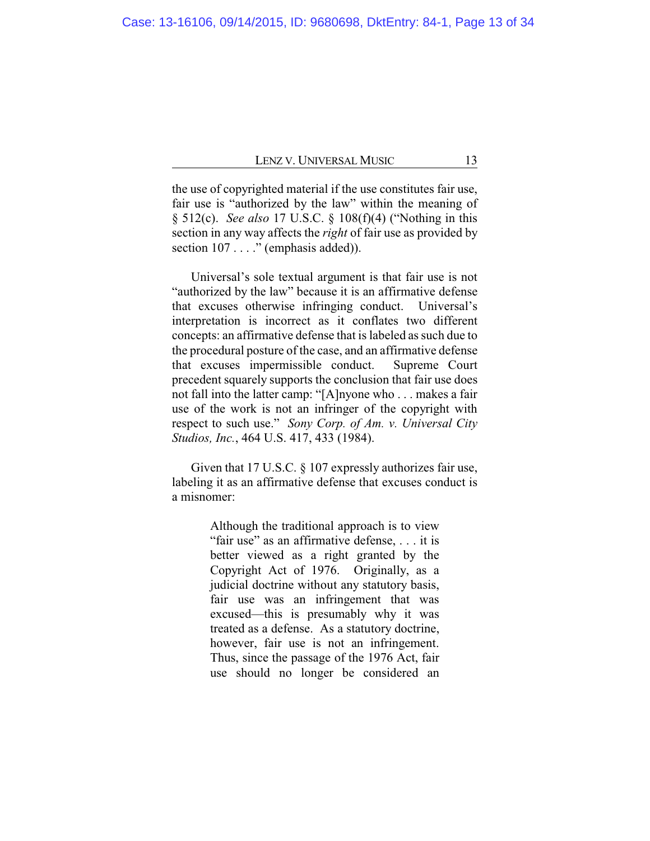the use of copyrighted material if the use constitutes fair use, fair use is "authorized by the law" within the meaning of § 512(c). *See also* 17 U.S.C. § 108(f)(4) ("Nothing in this section in any way affects the *right* of fair use as provided by section 107 . . . ." (emphasis added)).

Universal's sole textual argument is that fair use is not "authorized by the law" because it is an affirmative defense that excuses otherwise infringing conduct. Universal's interpretation is incorrect as it conflates two different concepts: an affirmative defense that is labeled as such due to the procedural posture of the case, and an affirmative defense that excuses impermissible conduct. Supreme Court precedent squarely supports the conclusion that fair use does not fall into the latter camp: "[A]nyone who . . . makes a fair use of the work is not an infringer of the copyright with respect to such use." *Sony Corp. of Am. v. Universal City Studios, Inc.*, 464 U.S. 417, 433 (1984).

Given that 17 U.S.C. § 107 expressly authorizes fair use, labeling it as an affirmative defense that excuses conduct is a misnomer:

> Although the traditional approach is to view "fair use" as an affirmative defense, . . . it is better viewed as a right granted by the Copyright Act of 1976. Originally, as a judicial doctrine without any statutory basis, fair use was an infringement that was excused—this is presumably why it was treated as a defense. As a statutory doctrine, however, fair use is not an infringement. Thus, since the passage of the 1976 Act, fair use should no longer be considered an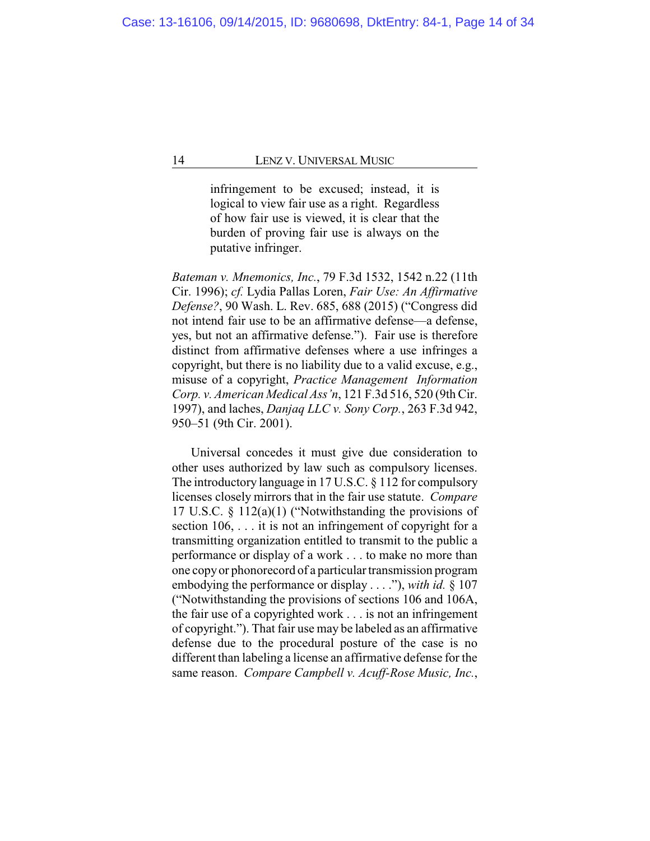infringement to be excused; instead, it is logical to view fair use as a right. Regardless of how fair use is viewed, it is clear that the burden of proving fair use is always on the putative infringer.

*Bateman v. Mnemonics, Inc.*, 79 F.3d 1532, 1542 n.22 (11th Cir. 1996); *cf.* Lydia Pallas Loren, *Fair Use: An Affirmative Defense?*, 90 Wash. L. Rev. 685, 688 (2015) ("Congress did not intend fair use to be an affirmative defense—a defense, yes, but not an affirmative defense."). Fair use is therefore distinct from affirmative defenses where a use infringes a copyright, but there is no liability due to a valid excuse, e.g., misuse of a copyright, *Practice Management Information Corp. v. American Medical Ass'n*, 121 F.3d 516, 520 (9th Cir. 1997), and laches, *Danjaq LLC v. Sony Corp.*, 263 F.3d 942, 950–51 (9th Cir. 2001).

Universal concedes it must give due consideration to other uses authorized by law such as compulsory licenses. The introductory language in 17 U.S.C. § 112 for compulsory licenses closely mirrors that in the fair use statute. *Compare* 17 U.S.C. § 112(a)(1) ("Notwithstanding the provisions of section 106, . . . it is not an infringement of copyright for a transmitting organization entitled to transmit to the public a performance or display of a work . . . to make no more than one copy or phonorecord of a particular transmission program embodying the performance or display . . . ."), *with id.* § 107 ("Notwithstanding the provisions of sections 106 and 106A, the fair use of a copyrighted work . . . is not an infringement of copyright."). That fair use may be labeled as an affirmative defense due to the procedural posture of the case is no different than labeling a license an affirmative defense for the same reason. *Compare Campbell v. Acuff-Rose Music, Inc.*,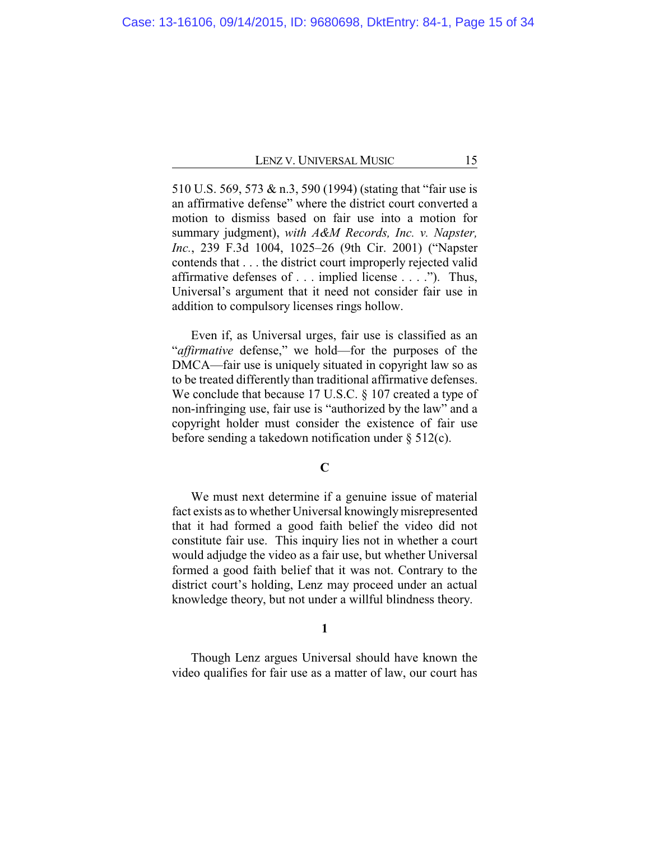510 U.S. 569, 573 & n.3, 590 (1994) (stating that "fair use is an affirmative defense" where the district court converted a motion to dismiss based on fair use into a motion for summary judgment), *with A&M Records, Inc. v. Napster, Inc.*, 239 F.3d 1004, 1025–26 (9th Cir. 2001) ("Napster contends that . . . the district court improperly rejected valid affirmative defenses of . . . implied license . . . ."). Thus, Universal's argument that it need not consider fair use in addition to compulsory licenses rings hollow.

Even if, as Universal urges, fair use is classified as an "*affirmative* defense," we hold—for the purposes of the DMCA—fair use is uniquely situated in copyright law so as to be treated differently than traditional affirmative defenses. We conclude that because 17 U.S.C. § 107 created a type of non-infringing use, fair use is "authorized by the law" and a copyright holder must consider the existence of fair use before sending a takedown notification under § 512(c).

## **C**

We must next determine if a genuine issue of material fact exists as to whether Universal knowinglymisrepresented that it had formed a good faith belief the video did not constitute fair use. This inquiry lies not in whether a court would adjudge the video as a fair use, but whether Universal formed a good faith belief that it was not. Contrary to the district court's holding, Lenz may proceed under an actual knowledge theory, but not under a willful blindness theory.

## **1**

Though Lenz argues Universal should have known the video qualifies for fair use as a matter of law, our court has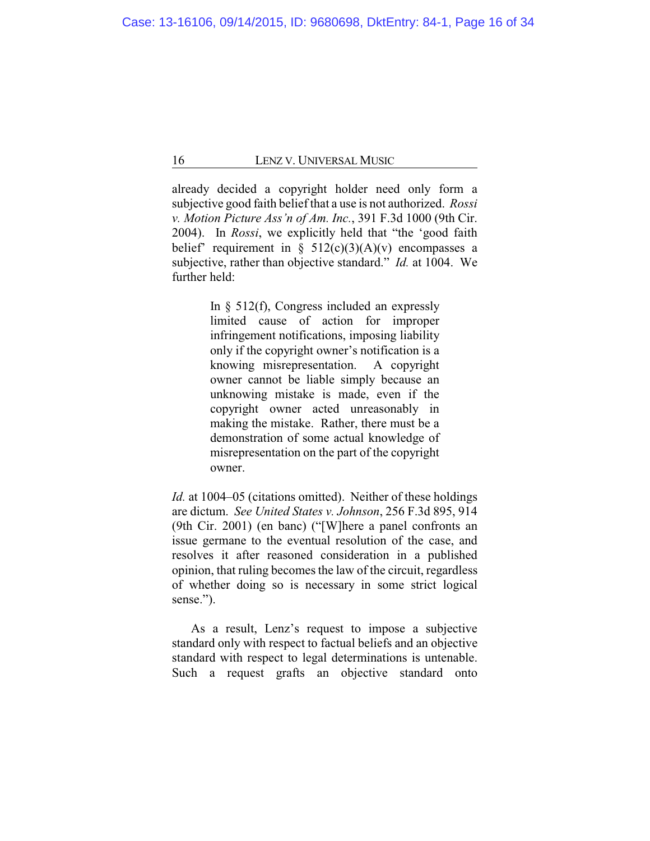already decided a copyright holder need only form a subjective good faith belief that a use is not authorized. *Rossi v. Motion Picture Ass'n of Am. Inc.*, 391 F.3d 1000 (9th Cir. 2004). In *Rossi*, we explicitly held that "the 'good faith belief' requirement in  $\S$  512(c)(3)(A)(v) encompasses a subjective, rather than objective standard." *Id.* at 1004. We further held:

> In  $\S$  512(f), Congress included an expressly limited cause of action for improper infringement notifications, imposing liability only if the copyright owner's notification is a knowing misrepresentation. A copyright owner cannot be liable simply because an unknowing mistake is made, even if the copyright owner acted unreasonably in making the mistake. Rather, there must be a demonstration of some actual knowledge of misrepresentation on the part of the copyright owner.

*Id.* at 1004–05 (citations omitted). Neither of these holdings are dictum. *See United States v. Johnson*, 256 F.3d 895, 914 (9th Cir. 2001) (en banc) ("[W]here a panel confronts an issue germane to the eventual resolution of the case, and resolves it after reasoned consideration in a published opinion, that ruling becomes the law of the circuit, regardless of whether doing so is necessary in some strict logical sense.").

As a result, Lenz's request to impose a subjective standard only with respect to factual beliefs and an objective standard with respect to legal determinations is untenable. Such a request grafts an objective standard onto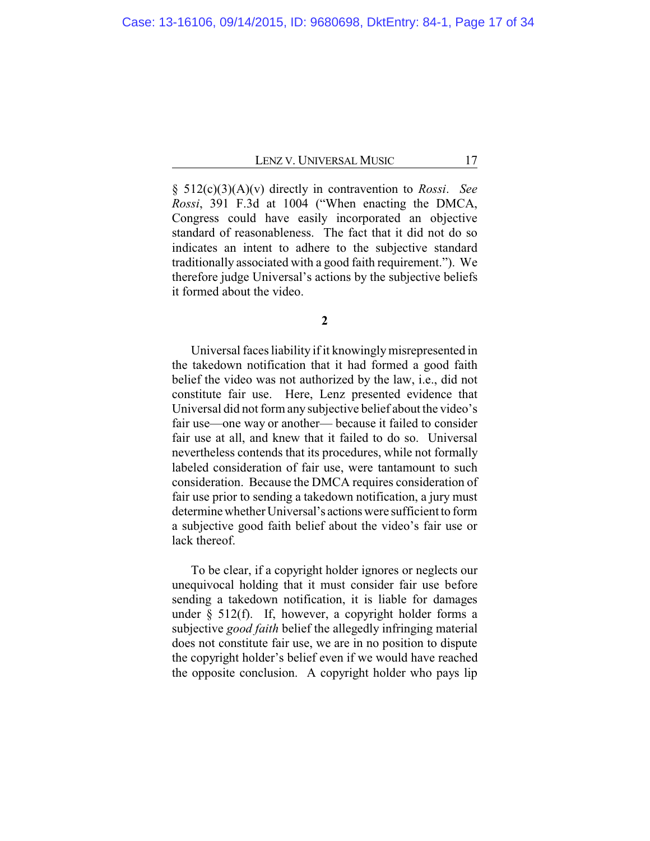§ 512(c)(3)(A)(v) directly in contravention to *Rossi*. *See Rossi*, 391 F.3d at 1004 ("When enacting the DMCA, Congress could have easily incorporated an objective standard of reasonableness. The fact that it did not do so indicates an intent to adhere to the subjective standard traditionally associated with a good faith requirement."). We therefore judge Universal's actions by the subjective beliefs it formed about the video.

Universal faces liability if it knowinglymisrepresented in the takedown notification that it had formed a good faith belief the video was not authorized by the law, i.e., did not constitute fair use. Here, Lenz presented evidence that Universal did not form any subjective belief about the video's fair use—one way or another— because it failed to consider fair use at all, and knew that it failed to do so. Universal nevertheless contends that its procedures, while not formally labeled consideration of fair use, were tantamount to such consideration. Because the DMCA requires consideration of fair use prior to sending a takedown notification, a jury must determine whether Universal's actions were sufficient to form a subjective good faith belief about the video's fair use or lack thereof.

To be clear, if a copyright holder ignores or neglects our unequivocal holding that it must consider fair use before sending a takedown notification, it is liable for damages under  $\S$  512(f). If, however, a copyright holder forms a subjective *good faith* belief the allegedly infringing material does not constitute fair use, we are in no position to dispute the copyright holder's belief even if we would have reached the opposite conclusion. A copyright holder who pays lip

**<sup>2</sup>**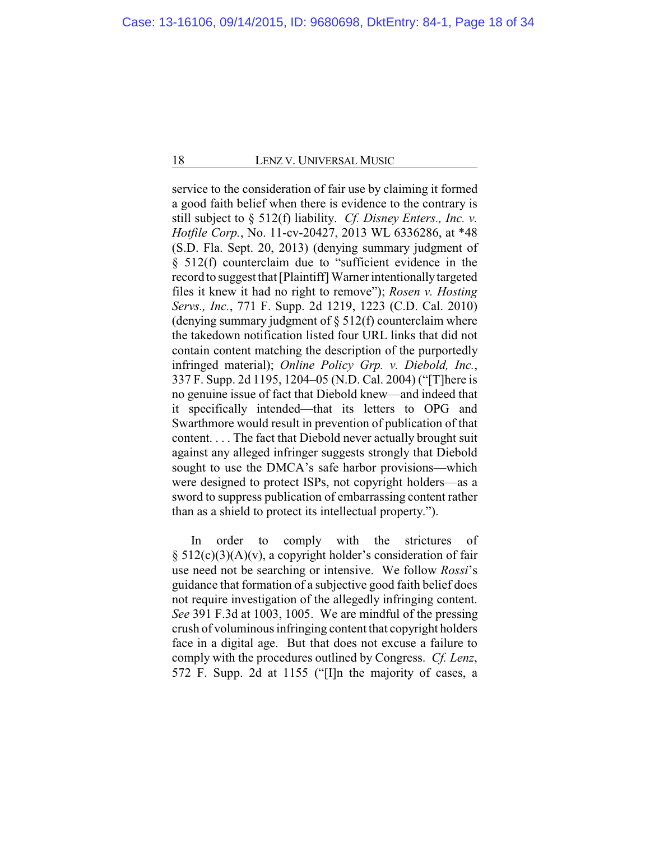service to the consideration of fair use by claiming it formed a good faith belief when there is evidence to the contrary is still subject to § 512(f) liability. *Cf. Disney Enters., Inc. v. Hotfile Corp.*, No. 11-cv-20427, 2013 WL 6336286, at \*48 (S.D. Fla. Sept. 20, 2013) (denying summary judgment of § 512(f) counterclaim due to "sufficient evidence in the record to suggest that [Plaintiff] Warner intentionallytargeted files it knew it had no right to remove"); *Rosen v. Hosting Servs., Inc.*, 771 F. Supp. 2d 1219, 1223 (C.D. Cal. 2010) (denying summary judgment of  $\S$  512(f) counterclaim where the takedown notification listed four URL links that did not contain content matching the description of the purportedly infringed material); *Online Policy Grp. v. Diebold, Inc.*, 337 F. Supp. 2d 1195, 1204–05 (N.D. Cal. 2004) ("[T]here is no genuine issue of fact that Diebold knew—and indeed that it specifically intended—that its letters to OPG and Swarthmore would result in prevention of publication of that content. . . . The fact that Diebold never actually brought suit against any alleged infringer suggests strongly that Diebold sought to use the DMCA's safe harbor provisions—which were designed to protect ISPs, not copyright holders—as a sword to suppress publication of embarrassing content rather than as a shield to protect its intellectual property.").

In order to comply with the strictures of § 512(c)(3)(A)(v), a copyright holder's consideration of fair use need not be searching or intensive. We follow *Rossi*'s guidance that formation of a subjective good faith belief does not require investigation of the allegedly infringing content. *See* 391 F.3d at 1003, 1005. We are mindful of the pressing crush of voluminous infringing content that copyright holders face in a digital age. But that does not excuse a failure to comply with the procedures outlined by Congress. *Cf. Lenz*, 572 F. Supp. 2d at 1155 ("[I]n the majority of cases, a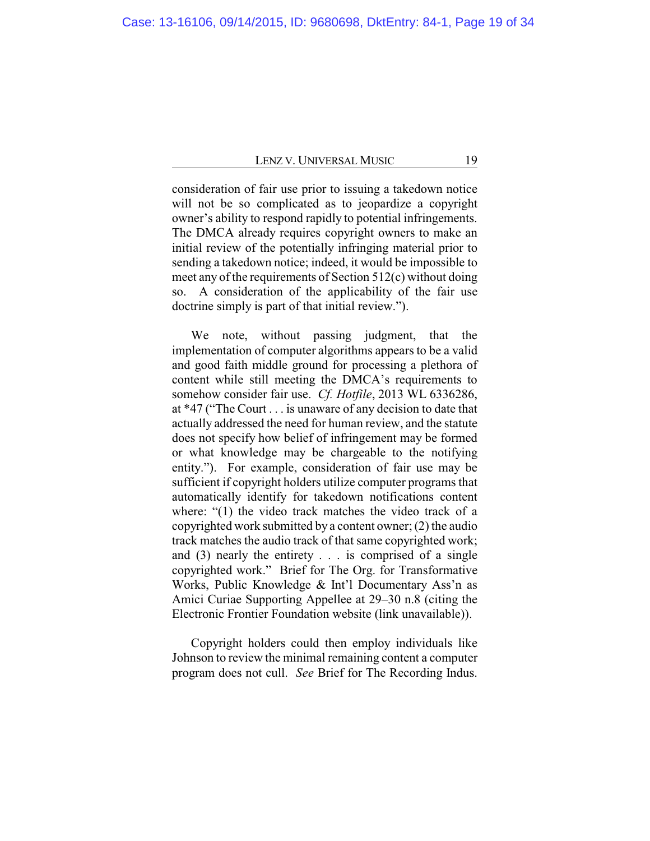consideration of fair use prior to issuing a takedown notice will not be so complicated as to jeopardize a copyright owner's ability to respond rapidly to potential infringements. The DMCA already requires copyright owners to make an initial review of the potentially infringing material prior to sending a takedown notice; indeed, it would be impossible to meet any of the requirements of Section 512(c) without doing so. A consideration of the applicability of the fair use doctrine simply is part of that initial review.").

We note, without passing judgment, that the implementation of computer algorithms appears to be a valid and good faith middle ground for processing a plethora of content while still meeting the DMCA's requirements to somehow consider fair use. *Cf. Hotfile*, 2013 WL 6336286, at \*47 ("The Court . . . is unaware of any decision to date that actually addressed the need for human review, and the statute does not specify how belief of infringement may be formed or what knowledge may be chargeable to the notifying entity."). For example, consideration of fair use may be sufficient if copyright holders utilize computer programs that automatically identify for takedown notifications content where: "(1) the video track matches the video track of a copyrighted work submitted by a content owner; (2) the audio track matches the audio track of that same copyrighted work; and (3) nearly the entirety . . . is comprised of a single copyrighted work." Brief for The Org. for Transformative Works, Public Knowledge & Int'l Documentary Ass'n as Amici Curiae Supporting Appellee at 29–30 n.8 (citing the Electronic Frontier Foundation website (link unavailable)).

Copyright holders could then employ individuals like Johnson to review the minimal remaining content a computer program does not cull. *See* Brief for The Recording Indus.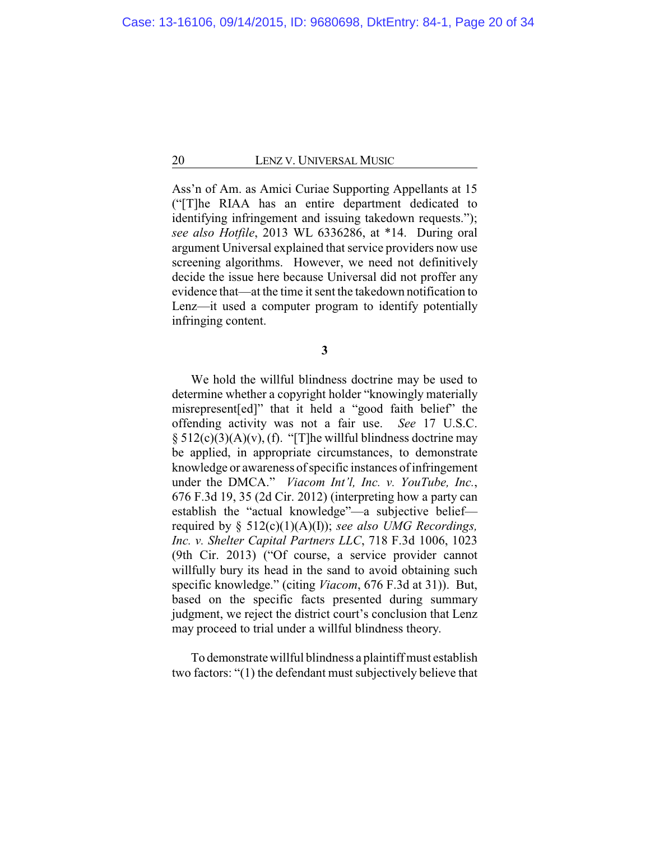Ass'n of Am. as Amici Curiae Supporting Appellants at 15 ("[T]he RIAA has an entire department dedicated to identifying infringement and issuing takedown requests."); *see also Hotfile*, 2013 WL 6336286, at \*14. During oral argument Universal explained that service providers now use screening algorithms. However, we need not definitively decide the issue here because Universal did not proffer any evidence that—at the time it sent the takedown notification to Lenz—it used a computer program to identify potentially infringing content.

**3**

We hold the willful blindness doctrine may be used to determine whether a copyright holder "knowingly materially misrepresent[ed]" that it held a "good faith belief" the offending activity was not a fair use. *See* 17 U.S.C.  $\S$  512(c)(3)(A)(v), (f). "[T]he willful blindness doctrine may be applied, in appropriate circumstances, to demonstrate knowledge or awareness of specific instances of infringement under the DMCA." *Viacom Int'l, Inc. v. YouTube, Inc.*, 676 F.3d 19, 35 (2d Cir. 2012) (interpreting how a party can establish the "actual knowledge"—a subjective belief required by § 512(c)(1)(A)(I)); *see also UMG Recordings, Inc. v. Shelter Capital Partners LLC*, 718 F.3d 1006, 1023 (9th Cir. 2013) ("Of course, a service provider cannot willfully bury its head in the sand to avoid obtaining such specific knowledge." (citing *Viacom*, 676 F.3d at 31)). But, based on the specific facts presented during summary judgment, we reject the district court's conclusion that Lenz may proceed to trial under a willful blindness theory.

To demonstrate willful blindness a plaintiff must establish two factors: "(1) the defendant must subjectively believe that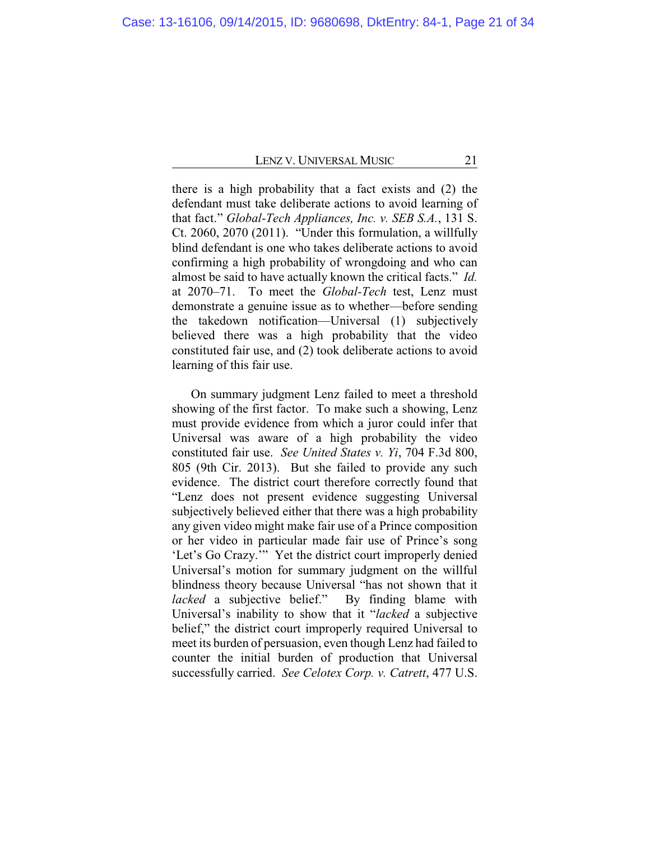there is a high probability that a fact exists and (2) the defendant must take deliberate actions to avoid learning of that fact." *Global-Tech Appliances, Inc. v. SEB S.A.*, 131 S. Ct. 2060, 2070 (2011). "Under this formulation, a willfully blind defendant is one who takes deliberate actions to avoid confirming a high probability of wrongdoing and who can almost be said to have actually known the critical facts." *Id.* at 2070–71. To meet the *Global-Tech* test, Lenz must demonstrate a genuine issue as to whether—before sending the takedown notification—Universal (1) subjectively believed there was a high probability that the video constituted fair use, and (2) took deliberate actions to avoid learning of this fair use.

On summary judgment Lenz failed to meet a threshold showing of the first factor. To make such a showing, Lenz must provide evidence from which a juror could infer that Universal was aware of a high probability the video constituted fair use. *See United States v. Yi*, 704 F.3d 800, 805 (9th Cir. 2013). But she failed to provide any such evidence. The district court therefore correctly found that "Lenz does not present evidence suggesting Universal subjectively believed either that there was a high probability any given video might make fair use of a Prince composition or her video in particular made fair use of Prince's song 'Let's Go Crazy.'" Yet the district court improperly denied Universal's motion for summary judgment on the willful blindness theory because Universal "has not shown that it *lacked* a subjective belief." By finding blame with Universal's inability to show that it "*lacked* a subjective belief," the district court improperly required Universal to meet its burden of persuasion, even though Lenz had failed to counter the initial burden of production that Universal successfully carried. *See Celotex Corp. v. Catrett*, 477 U.S.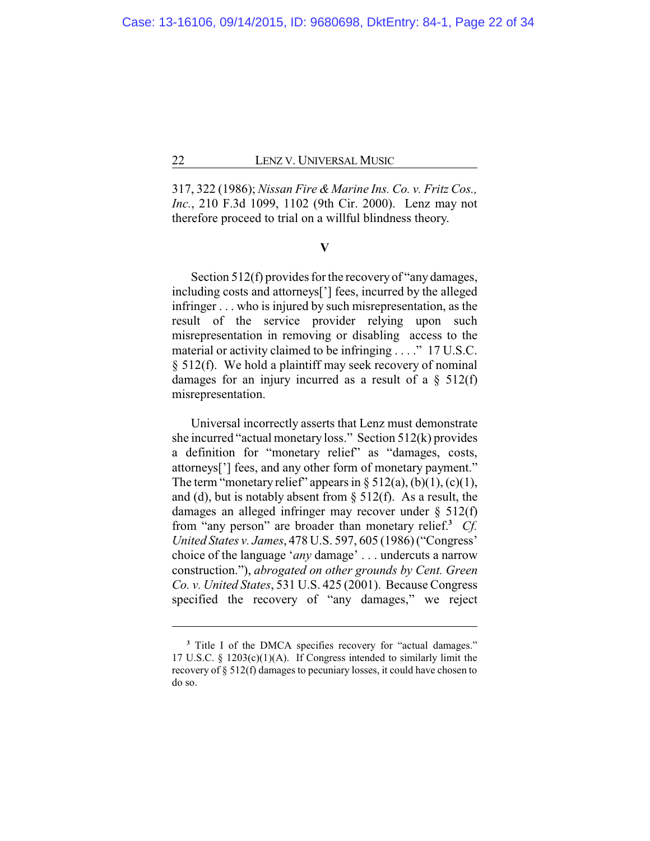317, 322 (1986); *Nissan Fire & Marine Ins. Co. v. Fritz Cos., Inc.*, 210 F.3d 1099, 1102 (9th Cir. 2000). Lenz may not therefore proceed to trial on a willful blindness theory.

## **V**

Section 512(f) provides for the recovery of "any damages, including costs and attorneys['] fees, incurred by the alleged infringer . . . who is injured by such misrepresentation, as the result of the service provider relying upon such misrepresentation in removing or disabling access to the material or activity claimed to be infringing . . . ." 17 U.S.C. § 512(f). We hold a plaintiff may seek recovery of nominal damages for an injury incurred as a result of a  $\S$  512(f) misrepresentation.

Universal incorrectly asserts that Lenz must demonstrate she incurred "actual monetary loss." Section 512(k) provides a definition for "monetary relief" as "damages, costs, attorneys['] fees, and any other form of monetary payment." The term "monetary relief" appears in  $\S 512(a)$ , (b)(1), (c)(1), and (d), but is notably absent from  $\S$  512(f). As a result, the damages an alleged infringer may recover under § 512(f) from "any person" are broader than monetary relief.**<sup>3</sup>** *Cf. United States v. James*, 478 U.S. 597, 605 (1986) ("Congress' choice of the language '*any* damage' . . . undercuts a narrow construction."), *abrogated on other grounds by Cent. Green Co. v. United States*, 531 U.S. 425 (2001). Because Congress specified the recovery of "any damages," we reject

**<sup>3</sup>** Title I of the DMCA specifies recovery for "actual damages." 17 U.S.C. § 1203(c)(1)(A). If Congress intended to similarly limit the recovery of § 512(f) damages to pecuniary losses, it could have chosen to do so.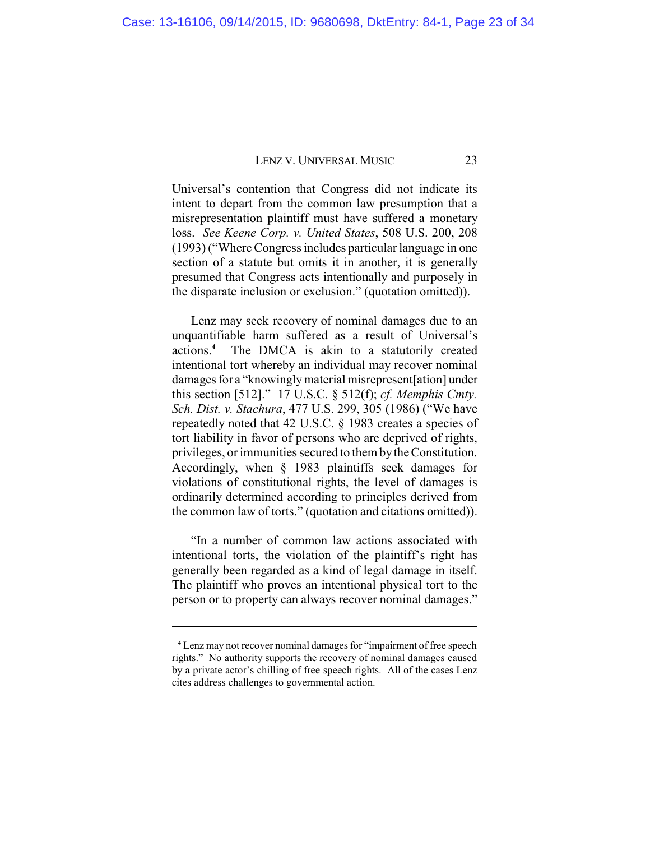Universal's contention that Congress did not indicate its intent to depart from the common law presumption that a misrepresentation plaintiff must have suffered a monetary loss. *See Keene Corp. v. United States*, 508 U.S. 200, 208 (1993) ("Where Congress includes particular language in one section of a statute but omits it in another, it is generally presumed that Congress acts intentionally and purposely in the disparate inclusion or exclusion." (quotation omitted)).

Lenz may seek recovery of nominal damages due to an unquantifiable harm suffered as a result of Universal's actions.**<sup>4</sup>** The DMCA is akin to a statutorily created intentional tort whereby an individual may recover nominal damages for a "knowinglymaterial misrepresent[ation] under this section [512]." 17 U.S.C. § 512(f); *cf. Memphis Cmty. Sch. Dist. v. Stachura*, 477 U.S. 299, 305 (1986) ("We have repeatedly noted that 42 U.S.C. § 1983 creates a species of tort liability in favor of persons who are deprived of rights, privileges, or immunities secured to them bythe Constitution. Accordingly, when § 1983 plaintiffs seek damages for violations of constitutional rights, the level of damages is ordinarily determined according to principles derived from the common law of torts." (quotation and citations omitted)).

"In a number of common law actions associated with intentional torts, the violation of the plaintiff's right has generally been regarded as a kind of legal damage in itself. The plaintiff who proves an intentional physical tort to the person or to property can always recover nominal damages."

**<sup>4</sup>** Lenz may not recover nominal damages for "impairment of free speech rights." No authority supports the recovery of nominal damages caused by a private actor's chilling of free speech rights. All of the cases Lenz cites address challenges to governmental action.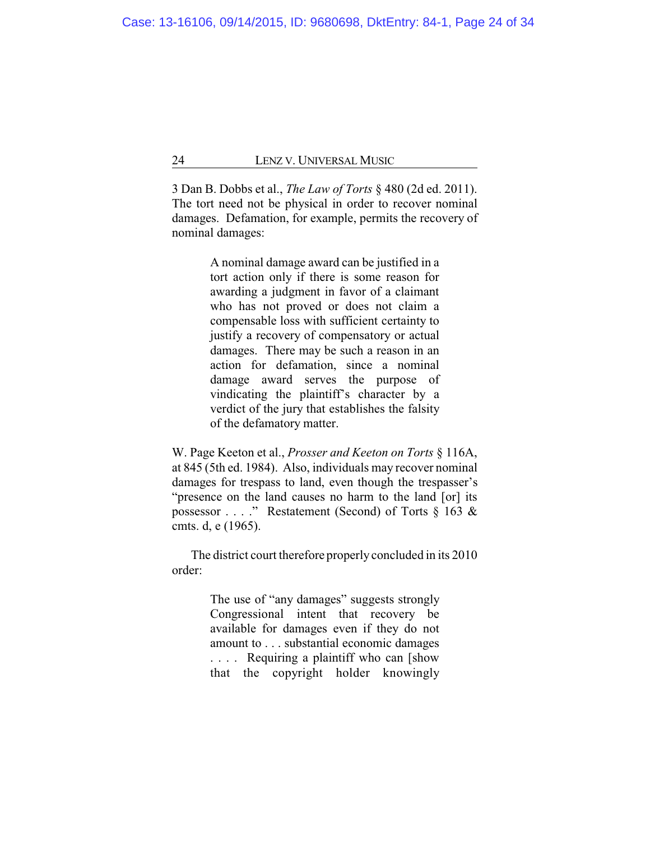3 Dan B. Dobbs et al., *The Law of Torts* § 480 (2d ed. 2011). The tort need not be physical in order to recover nominal damages. Defamation, for example, permits the recovery of nominal damages:

> A nominal damage award can be justified in a tort action only if there is some reason for awarding a judgment in favor of a claimant who has not proved or does not claim a compensable loss with sufficient certainty to justify a recovery of compensatory or actual damages. There may be such a reason in an action for defamation, since a nominal damage award serves the purpose of vindicating the plaintiff's character by a verdict of the jury that establishes the falsity of the defamatory matter.

W. Page Keeton et al., *Prosser and Keeton on Torts* § 116A, at 845 (5th ed. 1984). Also, individuals may recover nominal damages for trespass to land, even though the trespasser's "presence on the land causes no harm to the land [or] its possessor . . . ." Restatement (Second) of Torts § 163 & cmts. d, e (1965).

The district court therefore properly concluded in its 2010 order:

> The use of "any damages" suggests strongly Congressional intent that recovery be available for damages even if they do not amount to . . . substantial economic damages .... Requiring a plaintiff who can [show that the copyright holder knowingly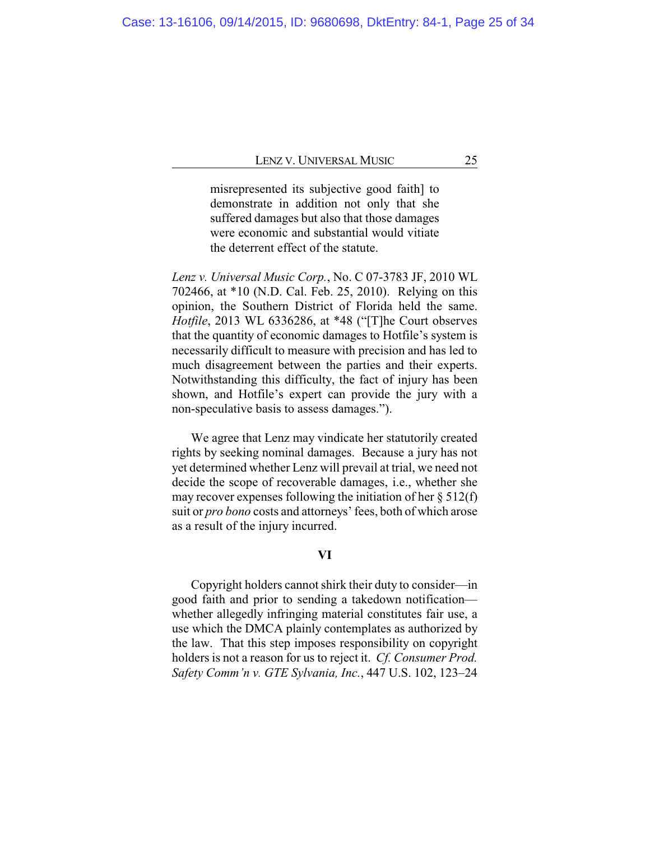misrepresented its subjective good faith] to demonstrate in addition not only that she suffered damages but also that those damages were economic and substantial would vitiate the deterrent effect of the statute.

*Lenz v. Universal Music Corp.*, No. C 07-3783 JF, 2010 WL 702466, at \*10 (N.D. Cal. Feb. 25, 2010). Relying on this opinion, the Southern District of Florida held the same. *Hotfile*, 2013 WL 6336286, at \*48 ("[T]he Court observes that the quantity of economic damages to Hotfile's system is necessarily difficult to measure with precision and has led to much disagreement between the parties and their experts. Notwithstanding this difficulty, the fact of injury has been shown, and Hotfile's expert can provide the jury with a non-speculative basis to assess damages.").

We agree that Lenz may vindicate her statutorily created rights by seeking nominal damages. Because a jury has not yet determined whether Lenz will prevail at trial, we need not decide the scope of recoverable damages, i.e., whether she may recover expenses following the initiation of her  $\S 512(f)$ suit or *pro bono* costs and attorneys' fees, both of which arose as a result of the injury incurred.

## **VI**

Copyright holders cannot shirk their duty to consider—in good faith and prior to sending a takedown notification whether allegedly infringing material constitutes fair use, a use which the DMCA plainly contemplates as authorized by the law. That this step imposes responsibility on copyright holders is not a reason for us to reject it. *Cf. Consumer Prod. Safety Comm'n v. GTE Sylvania, Inc.*, 447 U.S. 102, 123–24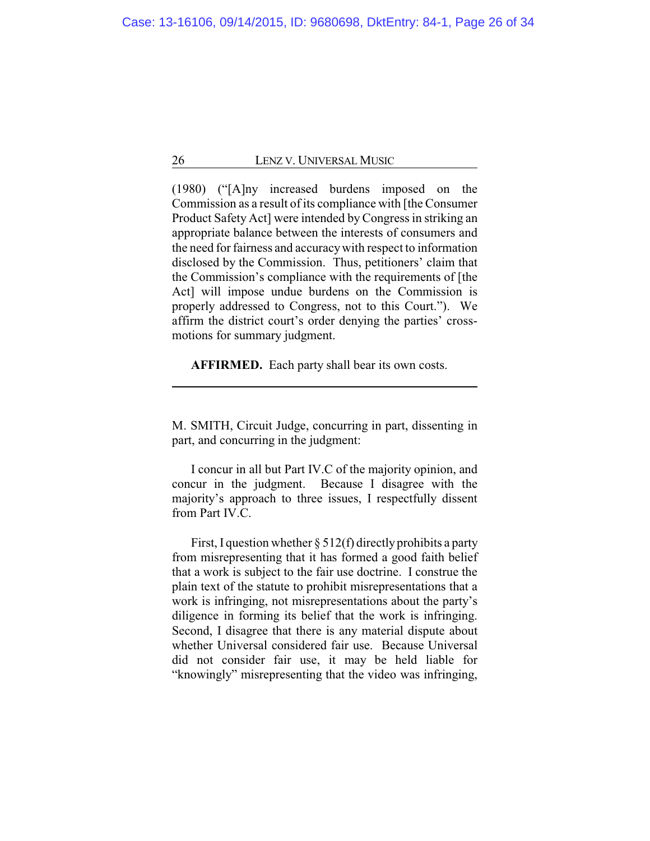(1980) ("[A]ny increased burdens imposed on the Commission as a result of its compliance with [the Consumer Product Safety Act] were intended by Congress in striking an appropriate balance between the interests of consumers and the need for fairness and accuracywith respect to information disclosed by the Commission. Thus, petitioners' claim that the Commission's compliance with the requirements of [the Act] will impose undue burdens on the Commission is properly addressed to Congress, not to this Court."). We affirm the district court's order denying the parties' crossmotions for summary judgment.

**AFFIRMED.** Each party shall bear its own costs.

M. SMITH, Circuit Judge, concurring in part, dissenting in part, and concurring in the judgment:

I concur in all but Part IV.C of the majority opinion, and concur in the judgment. Because I disagree with the majority's approach to three issues, I respectfully dissent from Part IV.C.

First, I question whether  $\S 512(f)$  directly prohibits a party from misrepresenting that it has formed a good faith belief that a work is subject to the fair use doctrine. I construe the plain text of the statute to prohibit misrepresentations that a work is infringing, not misrepresentations about the party's diligence in forming its belief that the work is infringing. Second, I disagree that there is any material dispute about whether Universal considered fair use. Because Universal did not consider fair use, it may be held liable for "knowingly" misrepresenting that the video was infringing,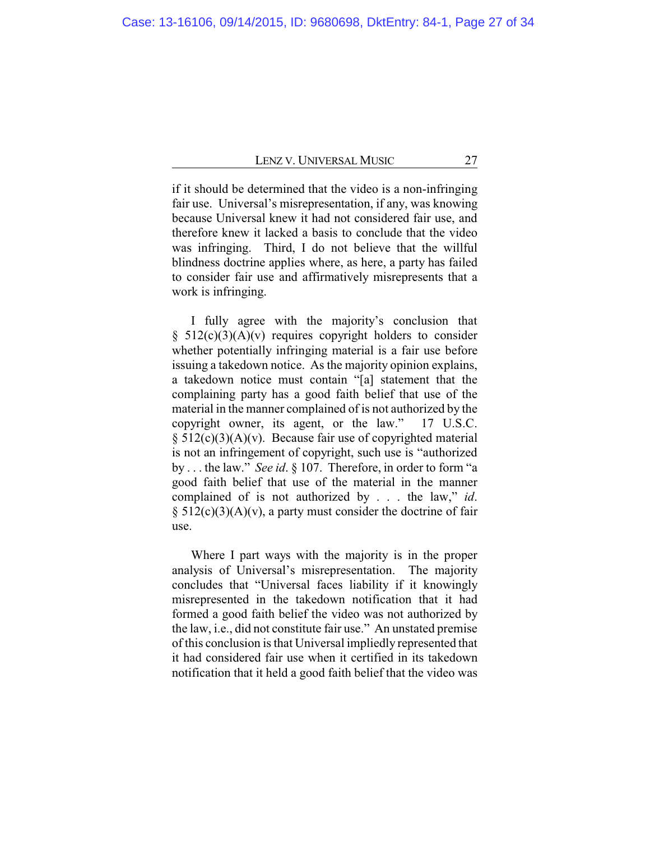if it should be determined that the video is a non-infringing fair use. Universal's misrepresentation, if any, was knowing because Universal knew it had not considered fair use, and therefore knew it lacked a basis to conclude that the video was infringing. Third, I do not believe that the willful blindness doctrine applies where, as here, a party has failed to consider fair use and affirmatively misrepresents that a work is infringing.

I fully agree with the majority's conclusion that  $§ 512(c)(3)(A)(v)$  requires copyright holders to consider whether potentially infringing material is a fair use before issuing a takedown notice. As the majority opinion explains, a takedown notice must contain "[a] statement that the complaining party has a good faith belief that use of the material in the manner complained of is not authorized by the copyright owner, its agent, or the law." 17 U.S.C.  $§ 512(c)(3)(A)(v)$ . Because fair use of copyrighted material is not an infringement of copyright, such use is "authorized by . . . the law." *See id*. § 107. Therefore, in order to form "a good faith belief that use of the material in the manner complained of is not authorized by . . . the law," *id*.  $§ 512(c)(3)(A)(v)$ , a party must consider the doctrine of fair use.

Where I part ways with the majority is in the proper analysis of Universal's misrepresentation. The majority concludes that "Universal faces liability if it knowingly misrepresented in the takedown notification that it had formed a good faith belief the video was not authorized by the law, i.e., did not constitute fair use." An unstated premise of this conclusion is that Universal impliedly represented that it had considered fair use when it certified in its takedown notification that it held a good faith belief that the video was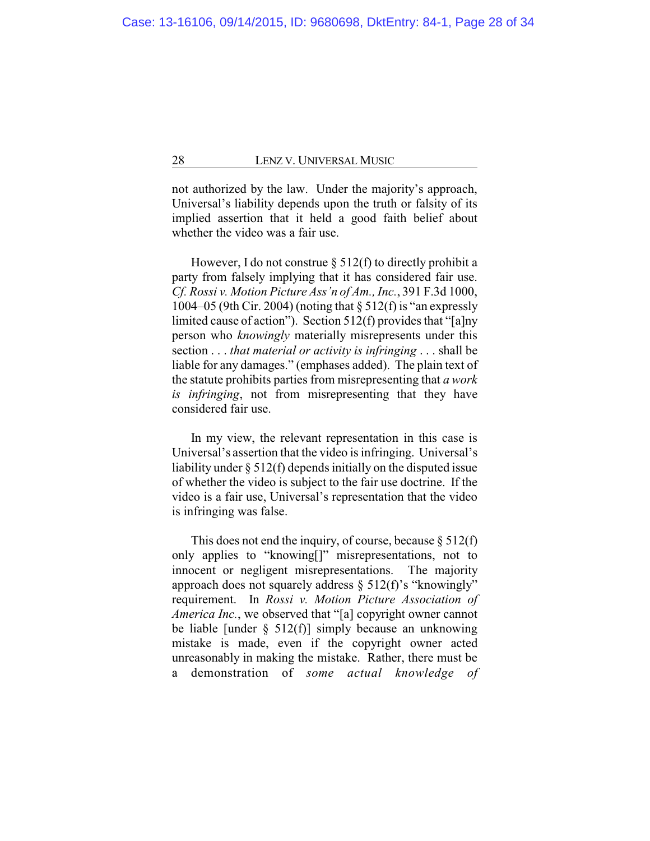not authorized by the law. Under the majority's approach, Universal's liability depends upon the truth or falsity of its implied assertion that it held a good faith belief about whether the video was a fair use.

However, I do not construe  $\S$  512(f) to directly prohibit a party from falsely implying that it has considered fair use. *Cf. Rossi v. Motion Picture Ass'n of Am., Inc.*, 391 F.3d 1000, 1004–05 (9th Cir. 2004) (noting that § 512(f) is "an expressly limited cause of action"). Section 512(f) provides that "[a]ny person who *knowingly* materially misrepresents under this section . . . *that material or activity is infringing* . . . shall be liable for any damages." (emphases added). The plain text of the statute prohibits parties from misrepresenting that *a work is infringing*, not from misrepresenting that they have considered fair use.

In my view, the relevant representation in this case is Universal's assertion that the video is infringing. Universal's liability under § 512(f) depends initially on the disputed issue of whether the video is subject to the fair use doctrine. If the video is a fair use, Universal's representation that the video is infringing was false.

This does not end the inquiry, of course, because  $\S 512(f)$ only applies to "knowing[]" misrepresentations, not to innocent or negligent misrepresentations. The majority approach does not squarely address  $\S$  512(f)'s "knowingly" requirement. In *Rossi v. Motion Picture Association of America Inc.*, we observed that "[a] copyright owner cannot be liable [under  $\S$  512(f)] simply because an unknowing mistake is made, even if the copyright owner acted unreasonably in making the mistake. Rather, there must be a demonstration of *some actual knowledge of*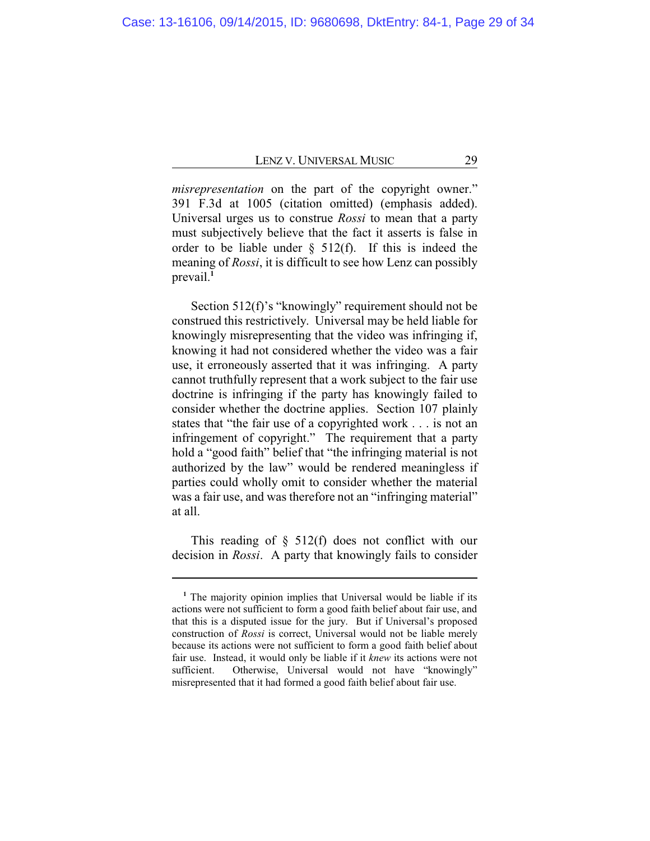*misrepresentation* on the part of the copyright owner." 391 F.3d at 1005 (citation omitted) (emphasis added). Universal urges us to construe *Rossi* to mean that a party must subjectively believe that the fact it asserts is false in order to be liable under  $\S$  512(f). If this is indeed the meaning of *Rossi*, it is difficult to see how Lenz can possibly prevail.**<sup>1</sup>**

Section 512(f)'s "knowingly" requirement should not be construed this restrictively. Universal may be held liable for knowingly misrepresenting that the video was infringing if, knowing it had not considered whether the video was a fair use, it erroneously asserted that it was infringing. A party cannot truthfully represent that a work subject to the fair use doctrine is infringing if the party has knowingly failed to consider whether the doctrine applies. Section 107 plainly states that "the fair use of a copyrighted work . . . is not an infringement of copyright." The requirement that a party hold a "good faith" belief that "the infringing material is not authorized by the law" would be rendered meaningless if parties could wholly omit to consider whether the material was a fair use, and was therefore not an "infringing material" at all.

This reading of  $\S$  512(f) does not conflict with our decision in *Rossi*. A party that knowingly fails to consider

**<sup>1</sup>** The majority opinion implies that Universal would be liable if its actions were not sufficient to form a good faith belief about fair use, and that this is a disputed issue for the jury. But if Universal's proposed construction of *Rossi* is correct, Universal would not be liable merely because its actions were not sufficient to form a good faith belief about fair use. Instead, it would only be liable if it *knew* its actions were not sufficient. Otherwise, Universal would not have "knowingly" misrepresented that it had formed a good faith belief about fair use.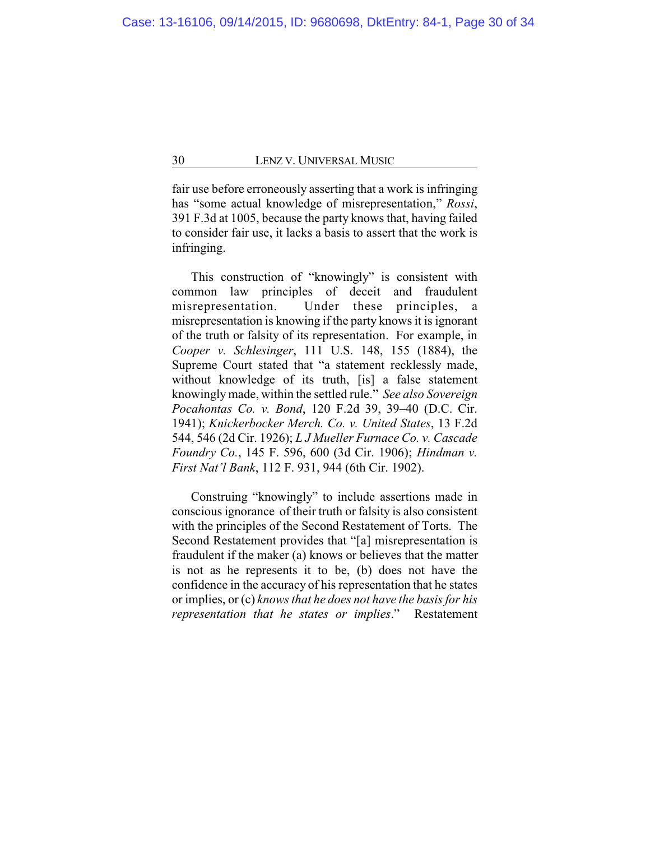fair use before erroneously asserting that a work is infringing has "some actual knowledge of misrepresentation," *Rossi*, 391 F.3d at 1005, because the party knows that, having failed to consider fair use, it lacks a basis to assert that the work is infringing.

This construction of "knowingly" is consistent with common law principles of deceit and fraudulent misrepresentation. Under these principles, a misrepresentation is knowing if the party knows it is ignorant of the truth or falsity of its representation. For example, in *Cooper v. Schlesinger*, 111 U.S. 148, 155 (1884), the Supreme Court stated that "a statement recklessly made, without knowledge of its truth, [is] a false statement knowinglymade, within the settled rule." *See also Sovereign Pocahontas Co. v. Bond*, 120 F.2d 39, 39–40 (D.C. Cir. 1941); *Knickerbocker Merch. Co. v. United States*, 13 F.2d 544, 546 (2d Cir. 1926); *L J Mueller Furnace Co. v. Cascade Foundry Co.*, 145 F. 596, 600 (3d Cir. 1906); *Hindman v. First Nat'l Bank*, 112 F. 931, 944 (6th Cir. 1902).

Construing "knowingly" to include assertions made in conscious ignorance of their truth or falsity is also consistent with the principles of the Second Restatement of Torts. The Second Restatement provides that "[a] misrepresentation is fraudulent if the maker (a) knows or believes that the matter is not as he represents it to be, (b) does not have the confidence in the accuracy of his representation that he states or implies, or (c) *knows that he does not have the basis for his representation that he states or implies*." Restatement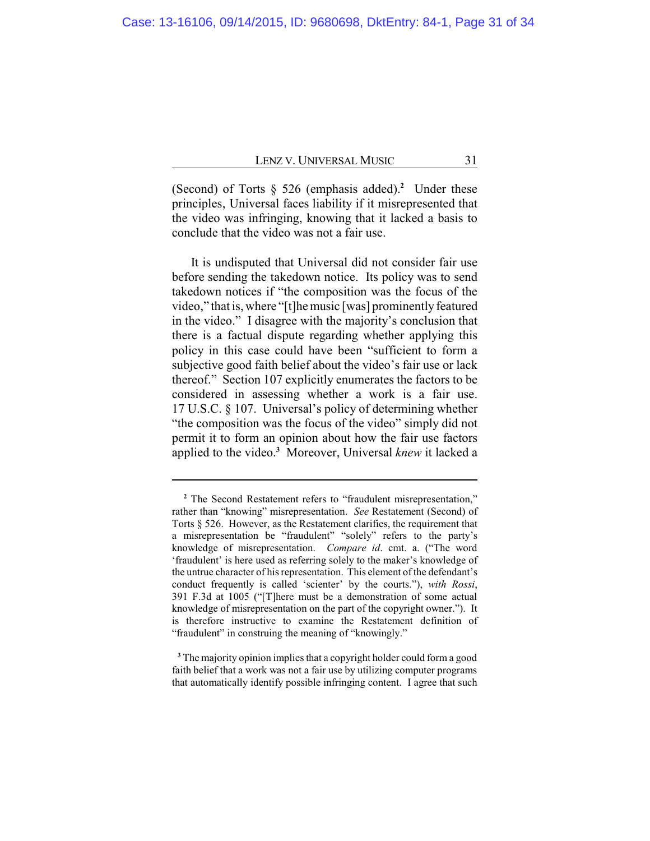(Second) of Torts  $\delta$  526 (emphasis added).<sup>2</sup> Under these principles, Universal faces liability if it misrepresented that the video was infringing, knowing that it lacked a basis to conclude that the video was not a fair use.

It is undisputed that Universal did not consider fair use before sending the takedown notice. Its policy was to send takedown notices if "the composition was the focus of the video," that is, where "[t]hemusic [was] prominentlyfeatured in the video." I disagree with the majority's conclusion that there is a factual dispute regarding whether applying this policy in this case could have been "sufficient to form a subjective good faith belief about the video's fair use or lack thereof." Section 107 explicitly enumerates the factors to be considered in assessing whether a work is a fair use. 17 U.S.C. § 107. Universal's policy of determining whether "the composition was the focus of the video" simply did not permit it to form an opinion about how the fair use factors applied to the video.**<sup>3</sup>** Moreover, Universal *knew* it lacked a

**<sup>2</sup>** The Second Restatement refers to "fraudulent misrepresentation," rather than "knowing" misrepresentation. *See* Restatement (Second) of Torts § 526. However, as the Restatement clarifies, the requirement that a misrepresentation be "fraudulent" "solely" refers to the party's knowledge of misrepresentation. *Compare id*. cmt. a. ("The word 'fraudulent' is here used as referring solely to the maker's knowledge of the untrue character of his representation. This element of the defendant's conduct frequently is called 'scienter' by the courts."), *with Rossi*, 391 F.3d at 1005 ("[T]here must be a demonstration of some actual knowledge of misrepresentation on the part of the copyright owner."). It is therefore instructive to examine the Restatement definition of "fraudulent" in construing the meaning of "knowingly."

**<sup>3</sup>** The majority opinion implies that a copyright holder could form a good faith belief that a work was not a fair use by utilizing computer programs that automatically identify possible infringing content. I agree that such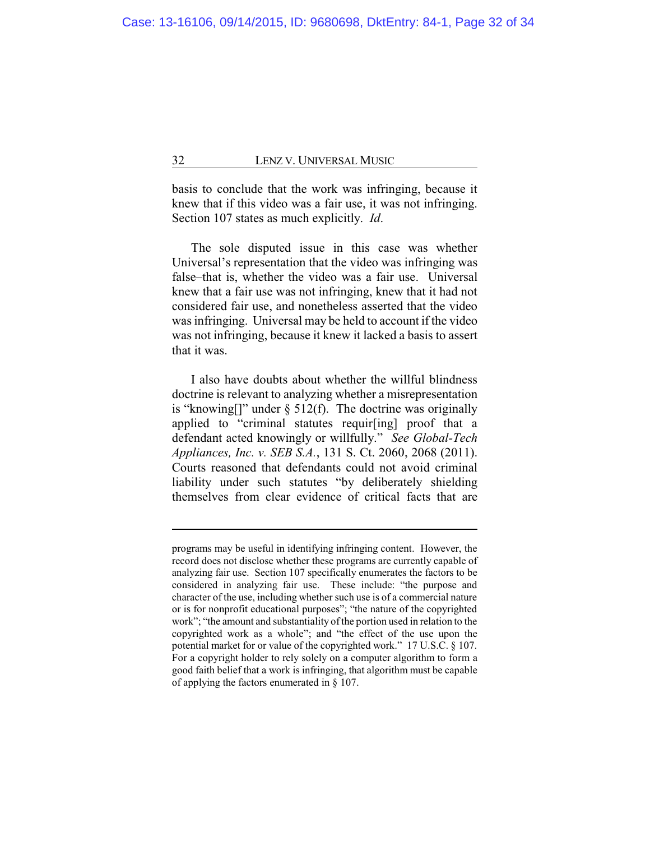basis to conclude that the work was infringing, because it knew that if this video was a fair use, it was not infringing. Section 107 states as much explicitly. *Id*.

The sole disputed issue in this case was whether Universal's representation that the video was infringing was false–that is, whether the video was a fair use. Universal knew that a fair use was not infringing, knew that it had not considered fair use, and nonetheless asserted that the video was infringing. Universal may be held to account if the video was not infringing, because it knew it lacked a basis to assert that it was.

I also have doubts about whether the willful blindness doctrine is relevant to analyzing whether a misrepresentation is "knowing[]" under  $\S$  512(f). The doctrine was originally applied to "criminal statutes requir[ing] proof that a defendant acted knowingly or willfully." *See Global-Tech Appliances, Inc. v. SEB S.A.*, 131 S. Ct. 2060, 2068 (2011). Courts reasoned that defendants could not avoid criminal liability under such statutes "by deliberately shielding themselves from clear evidence of critical facts that are

programs may be useful in identifying infringing content. However, the record does not disclose whether these programs are currently capable of analyzing fair use. Section 107 specifically enumerates the factors to be considered in analyzing fair use. These include: "the purpose and character of the use, including whether such use is of a commercial nature or is for nonprofit educational purposes"; "the nature of the copyrighted work"; "the amount and substantiality of the portion used in relation to the copyrighted work as a whole"; and "the effect of the use upon the potential market for or value of the copyrighted work." 17 U.S.C. § 107. For a copyright holder to rely solely on a computer algorithm to form a good faith belief that a work is infringing, that algorithm must be capable of applying the factors enumerated in § 107.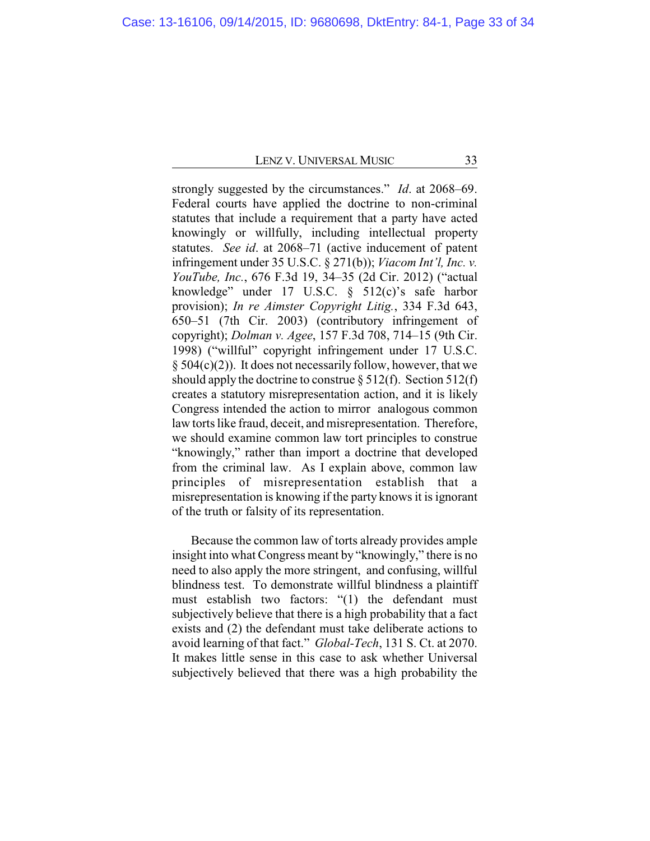strongly suggested by the circumstances." *Id*. at 2068–69. Federal courts have applied the doctrine to non-criminal statutes that include a requirement that a party have acted knowingly or willfully, including intellectual property statutes. *See id*. at 2068–71 (active inducement of patent infringement under 35 U.S.C. § 271(b)); *Viacom Int'l, Inc. v. YouTube, Inc.*, 676 F.3d 19, 34–35 (2d Cir. 2012) ("actual knowledge" under 17 U.S.C. § 512(c)'s safe harbor provision); *In re Aimster Copyright Litig.*, 334 F.3d 643, 650–51 (7th Cir. 2003) (contributory infringement of copyright); *Dolman v. Agee*, 157 F.3d 708, 714–15 (9th Cir. 1998) ("willful" copyright infringement under 17 U.S.C.  $§ 504(c)(2)$ . It does not necessarily follow, however, that we should apply the doctrine to construe  $\S 512(f)$ . Section 512(f) creates a statutory misrepresentation action, and it is likely Congress intended the action to mirror analogous common law torts like fraud, deceit, and misrepresentation. Therefore, we should examine common law tort principles to construe "knowingly," rather than import a doctrine that developed from the criminal law. As I explain above, common law principles of misrepresentation establish that a misrepresentation is knowing if the party knows it is ignorant of the truth or falsity of its representation.

Because the common law of torts already provides ample insight into what Congress meant by "knowingly," there is no need to also apply the more stringent, and confusing, willful blindness test. To demonstrate willful blindness a plaintiff must establish two factors: "(1) the defendant must subjectively believe that there is a high probability that a fact exists and (2) the defendant must take deliberate actions to avoid learning of that fact." *Global-Tech*, 131 S. Ct. at 2070. It makes little sense in this case to ask whether Universal subjectively believed that there was a high probability the